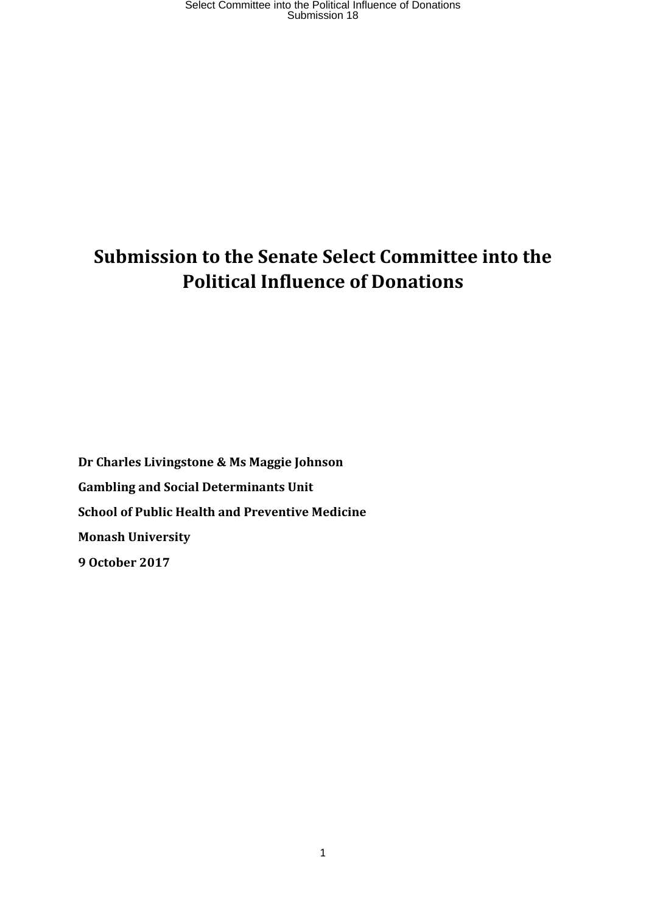# **Submission to the Senate Select Committee into the Political Influence of Donations**

**Dr Charles Livingstone & Ms Maggie Johnson Gambling and Social Determinants Unit School of Public Health and Preventive Medicine Monash University 9 October 2017**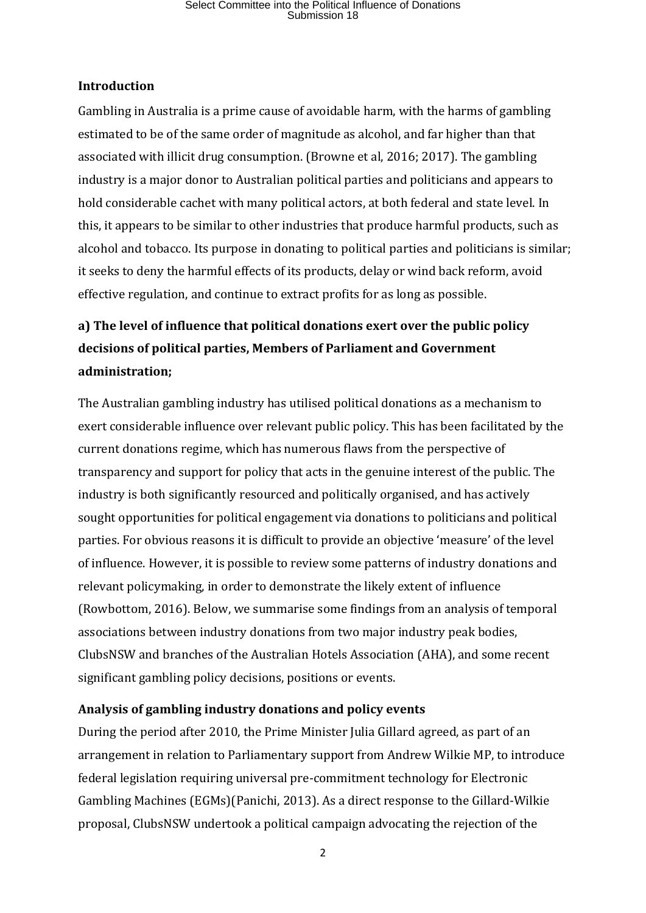#### **Introduction**

Gambling in Australia is a prime cause of avoidable harm, with the harms of gambling estimated to be of the same order of magnitude as alcohol, and far higher than that associated with illicit drug consumption. (Browne et al, 2016; 2017). The gambling industry is a major donor to Australian political parties and politicians and appears to hold considerable cachet with many political actors, at both federal and state level. In this, it appears to be similar to other industries that produce harmful products, such as alcohol and tobacco. Its purpose in donating to political parties and politicians is similar; it seeks to deny the harmful effects of its products, delay or wind back reform, avoid effective regulation, and continue to extract profits for as long as possible.

### **a) The level of influence that political donations exert over the public policy decisions of political parties, Members of Parliament and Government administration;**

The Australian gambling industry has utilised political donations as a mechanism to exert considerable influence over relevant public policy. This has been facilitated by the current donations regime, which has numerous flaws from the perspective of transparency and support for policy that acts in the genuine interest of the public. The industry is both significantly resourced and politically organised, and has actively sought opportunities for political engagement via donations to politicians and political parties. For obvious reasons it is difficult to provide an objective 'measure' of the level of influence. However, it is possible to review some patterns of industry donations and relevant policymaking, in order to demonstrate the likely extent of influence (Rowbottom, 2016). Below, we summarise some findings from an analysis of temporal associations between industry donations from two major industry peak bodies, ClubsNSW and branches of the Australian Hotels Association (AHA), and some recent significant gambling policy decisions, positions or events.

### **Analysis of gambling industry donations and policy events**

During the period after 2010, the Prime Minister Julia Gillard agreed, as part of an arrangement in relation to Parliamentary support from Andrew Wilkie MP, to introduce federal legislation requiring universal pre-commitment technology for Electronic Gambling Machines (EGMs)(Panichi, 2013). As a direct response to the Gillard-Wilkie proposal, ClubsNSW undertook a political campaign advocating the rejection of the

2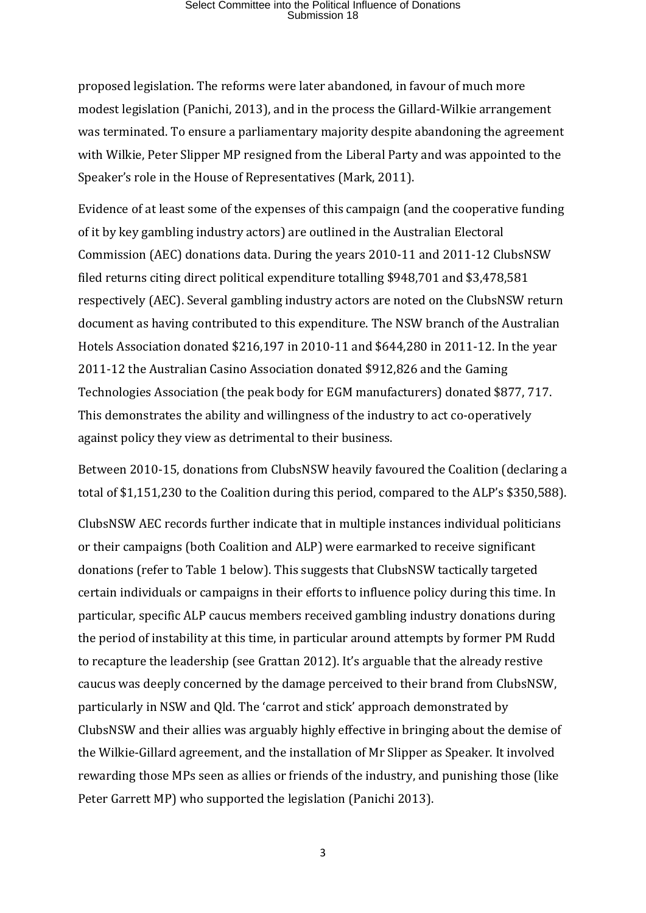proposed legislation. The reforms were later abandoned, in favour of much more modest legislation (Panichi, 2013), and in the process the Gillard-Wilkie arrangement was terminated. To ensure a parliamentary majority despite abandoning the agreement with Wilkie, Peter Slipper MP resigned from the Liberal Party and was appointed to the Speaker's role in the House of Representatives (Mark, 2011).

Evidence of at least some of the expenses of this campaign (and the cooperative funding of it by key gambling industry actors) are outlined in the Australian Electoral Commission (AEC) donations data. During the years 2010-11 and 2011-12 ClubsNSW filed returns citing direct political expenditure totalling \$948,701 and \$3,478,581 respectively (AEC). Several gambling industry actors are noted on the ClubsNSW return document as having contributed to this expenditure. The NSW branch of the Australian Hotels Association donated \$216,197 in 2010-11 and \$644,280 in 2011-12. In the year 2011-12 the Australian Casino Association donated \$912,826 and the Gaming Technologies Association (the peak body for EGM manufacturers) donated \$877, 717. This demonstrates the ability and willingness of the industry to act co-operatively against policy they view as detrimental to their business.

Between 2010-15, donations from ClubsNSW heavily favoured the Coalition (declaring a total of \$1,151,230 to the Coalition during this period, compared to the ALP's \$350,588).

ClubsNSW AEC records further indicate that in multiple instances individual politicians or their campaigns (both Coalition and ALP) were earmarked to receive significant donations (refer to Table 1 below). This suggests that ClubsNSW tactically targeted certain individuals or campaigns in their efforts to influence policy during this time. In particular, specific ALP caucus members received gambling industry donations during the period of instability at this time, in particular around attempts by former PM Rudd to recapture the leadership (see Grattan 2012). It's arguable that the already restive caucus was deeply concerned by the damage perceived to their brand from ClubsNSW, particularly in NSW and Qld. The 'carrot and stick' approach demonstrated by ClubsNSW and their allies was arguably highly effective in bringing about the demise of the Wilkie-Gillard agreement, and the installation of Mr Slipper as Speaker. It involved rewarding those MPs seen as allies or friends of the industry, and punishing those (like Peter Garrett MP) who supported the legislation (Panichi 2013).

3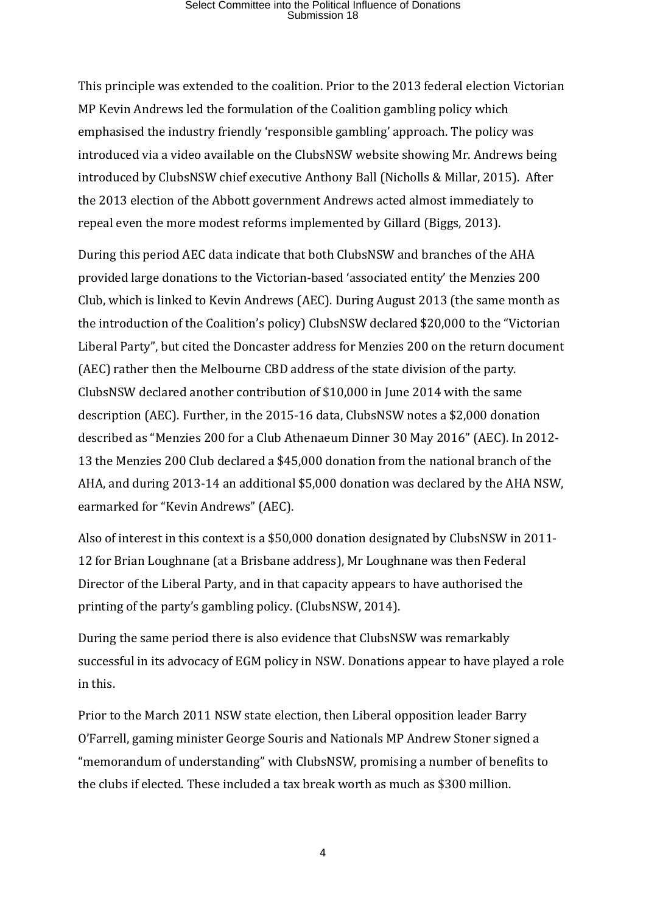This principle was extended to the coalition. Prior to the 2013 federal election Victorian MP Kevin Andrews led the formulation of the Coalition gambling policy which emphasised the industry friendly 'responsible gambling' approach. The policy was introduced via a video available on the ClubsNSW website showing Mr. Andrews being introduced by ClubsNSW chief executive Anthony Ball (Nicholls & Millar, 2015). After the 2013 election of the Abbott government Andrews acted almost immediately to repeal even the more modest reforms implemented by Gillard (Biggs, 2013).

During this period AEC data indicate that both ClubsNSW and branches of the AHA provided large donations to the Victorian-based 'associated entity' the Menzies 200 Club, which is linked to Kevin Andrews (AEC). During August 2013 (the same month as the introduction of the Coalition's policy) ClubsNSW declared \$20,000 to the "Victorian Liberal Party", but cited the Doncaster address for Menzies 200 on the return document (AEC) rather then the Melbourne CBD address of the state division of the party. ClubsNSW declared another contribution of \$10,000 in June 2014 with the same description (AEC). Further, in the 2015-16 data, ClubsNSW notes a \$2,000 donation described as "Menzies 200 for a Club Athenaeum Dinner 30 May 2016" (AEC). In 2012- 13 the Menzies 200 Club declared a \$45,000 donation from the national branch of the AHA, and during 2013-14 an additional \$5,000 donation was declared by the AHA NSW, earmarked for "Kevin Andrews" (AEC).

Also of interest in this context is a \$50,000 donation designated by ClubsNSW in 2011- 12 for Brian Loughnane (at a Brisbane address), Mr Loughnane was then Federal Director of the Liberal Party, and in that capacity appears to have authorised the printing of the party's gambling policy. (ClubsNSW, 2014).

During the same period there is also evidence that ClubsNSW was remarkably successful in its advocacy of EGM policy in NSW. Donations appear to have played a role in this.

Prior to the March 2011 NSW state election, then Liberal opposition leader Barry O'Farrell, gaming minister George Souris and Nationals MP Andrew Stoner signed a "memorandum of understanding" with ClubsNSW, promising a number of benefits to the clubs if elected. These included a tax break worth as much as \$300 million.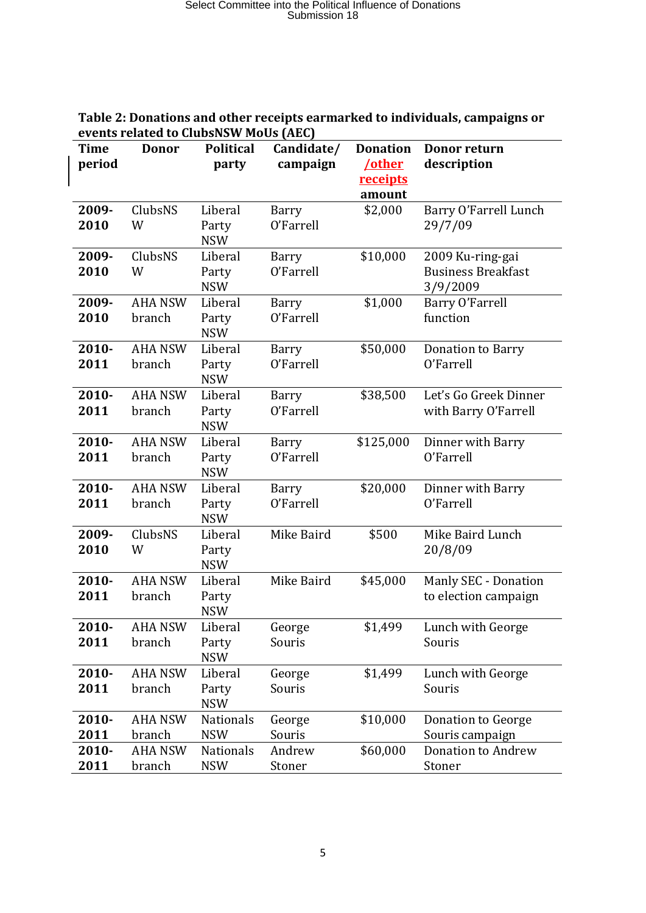| events related to ClubsNSW MoUs (AEC) |                          |                                |                        |                                                 |                                                           |  |  |  |  |
|---------------------------------------|--------------------------|--------------------------------|------------------------|-------------------------------------------------|-----------------------------------------------------------|--|--|--|--|
| <b>Time</b><br>period                 | <b>Donor</b>             | <b>Political</b><br>party      | Candidate/<br>campaign | <b>Donation</b><br>/other<br>receipts<br>amount | Donor return<br>description                               |  |  |  |  |
| 2009-<br>2010                         | ClubsNS<br>W             | Liberal<br>Party<br><b>NSW</b> | Barry<br>O'Farrell     | \$2,000                                         | Barry O'Farrell Lunch<br>29/7/09                          |  |  |  |  |
| 2009-<br>2010                         | ClubsNS<br>W             | Liberal<br>Party<br><b>NSW</b> | Barry<br>O'Farrell     | \$10,000                                        | 2009 Ku-ring-gai<br><b>Business Breakfast</b><br>3/9/2009 |  |  |  |  |
| 2009-<br>2010                         | <b>AHA NSW</b><br>branch | Liberal<br>Party<br><b>NSW</b> | Barry<br>O'Farrell     | \$1,000                                         | Barry O'Farrell<br>function                               |  |  |  |  |
| 2010-<br>2011                         | <b>AHA NSW</b><br>branch | Liberal<br>Party<br><b>NSW</b> | Barry<br>O'Farrell     | \$50,000                                        | <b>Donation to Barry</b><br>O'Farrell                     |  |  |  |  |
| $2010 -$<br>2011                      | <b>AHA NSW</b><br>branch | Liberal<br>Party<br><b>NSW</b> | Barry<br>O'Farrell     | \$38,500                                        | Let's Go Greek Dinner<br>with Barry O'Farrell             |  |  |  |  |
| 2010-<br>2011                         | <b>AHA NSW</b><br>branch | Liberal<br>Party<br><b>NSW</b> | Barry<br>O'Farrell     | \$125,000                                       | Dinner with Barry<br>O'Farrell                            |  |  |  |  |
| 2010-<br>2011                         | <b>AHA NSW</b><br>branch | Liberal<br>Party<br><b>NSW</b> | Barry<br>O'Farrell     | \$20,000                                        | Dinner with Barry<br>O'Farrell                            |  |  |  |  |
| 2009-<br>2010                         | ClubsNS<br>W             | Liberal<br>Party<br><b>NSW</b> | Mike Baird             | \$500                                           | Mike Baird Lunch<br>20/8/09                               |  |  |  |  |
| $2010 -$<br>2011                      | <b>AHA NSW</b><br>branch | Liberal<br>Party<br><b>NSW</b> | Mike Baird             | \$45,000                                        | Manly SEC - Donation<br>to election campaign              |  |  |  |  |
| 2010-<br>2011                         | <b>AHA NSW</b><br>branch | Liberal<br>Party<br><b>NSW</b> | George<br>Souris       | \$1,499                                         | Lunch with George<br>Souris                               |  |  |  |  |
| 2010-<br>2011                         | <b>AHA NSW</b><br>branch | Liberal<br>Party<br><b>NSW</b> | George<br>Souris       | \$1,499                                         | Lunch with George<br>Souris                               |  |  |  |  |
| 2010-<br>2011                         | <b>AHA NSW</b><br>branch | <b>Nationals</b><br><b>NSW</b> | George<br>Souris       | \$10,000                                        | Donation to George<br>Souris campaign                     |  |  |  |  |
| 2010-<br>2011                         | <b>AHA NSW</b><br>branch | Nationals<br><b>NSW</b>        | Andrew<br>Stoner       | \$60,000                                        | <b>Donation to Andrew</b><br>Stoner                       |  |  |  |  |

#### **Table 2: Donations and other receipts earmarked to individuals, campaigns or events related to ClubsNSW MoUs (AEC)**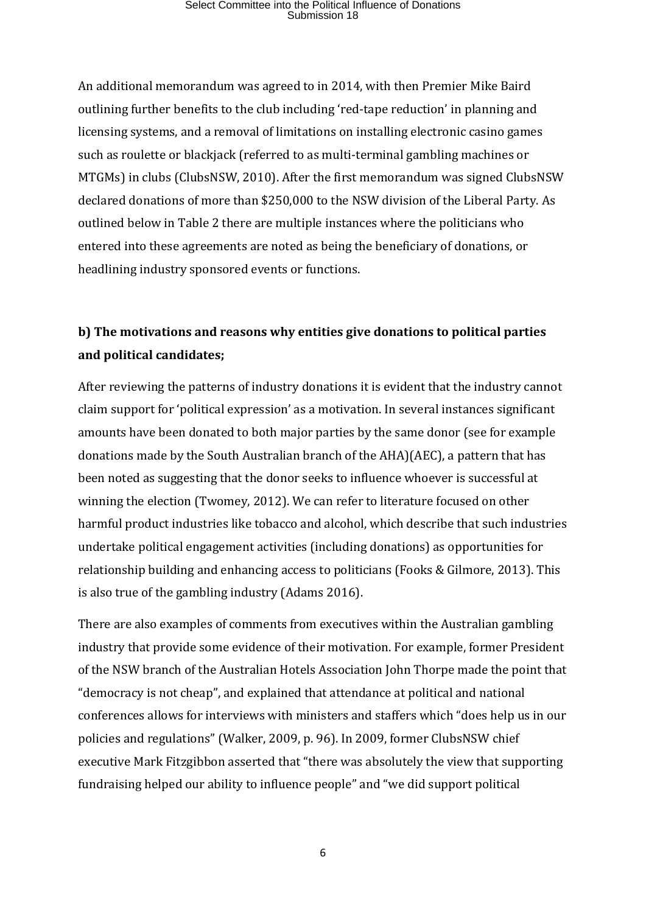An additional memorandum was agreed to in 2014, with then Premier Mike Baird outlining further benefits to the club including 'red-tape reduction' in planning and licensing systems, and a removal of limitations on installing electronic casino games such as roulette or blackjack (referred to as multi-terminal gambling machines or MTGMs) in clubs (ClubsNSW, 2010). After the first memorandum was signed ClubsNSW declared donations of more than \$250,000 to the NSW division of the Liberal Party. As outlined below in Table 2 there are multiple instances where the politicians who entered into these agreements are noted as being the beneficiary of donations, or headlining industry sponsored events or functions.

### **b) The motivations and reasons why entities give donations to political parties and political candidates;**

After reviewing the patterns of industry donations it is evident that the industry cannot claim support for 'political expression' as a motivation. In several instances significant amounts have been donated to both major parties by the same donor (see for example donations made by the South Australian branch of the AHA)(AEC), a pattern that has been noted as suggesting that the donor seeks to influence whoever is successful at winning the election (Twomey, 2012). We can refer to literature focused on other harmful product industries like tobacco and alcohol, which describe that such industries undertake political engagement activities (including donations) as opportunities for relationship building and enhancing access to politicians (Fooks & Gilmore, 2013). This is also true of the gambling industry (Adams 2016).

There are also examples of comments from executives within the Australian gambling industry that provide some evidence of their motivation. For example, former President of the NSW branch of the Australian Hotels Association John Thorpe made the point that "democracy is not cheap", and explained that attendance at political and national conferences allows for interviews with ministers and staffers which "does help us in our policies and regulations" (Walker, 2009, p. 96). In 2009, former ClubsNSW chief executive Mark Fitzgibbon asserted that "there was absolutely the view that supporting fundraising helped our ability to influence people" and "we did support political

6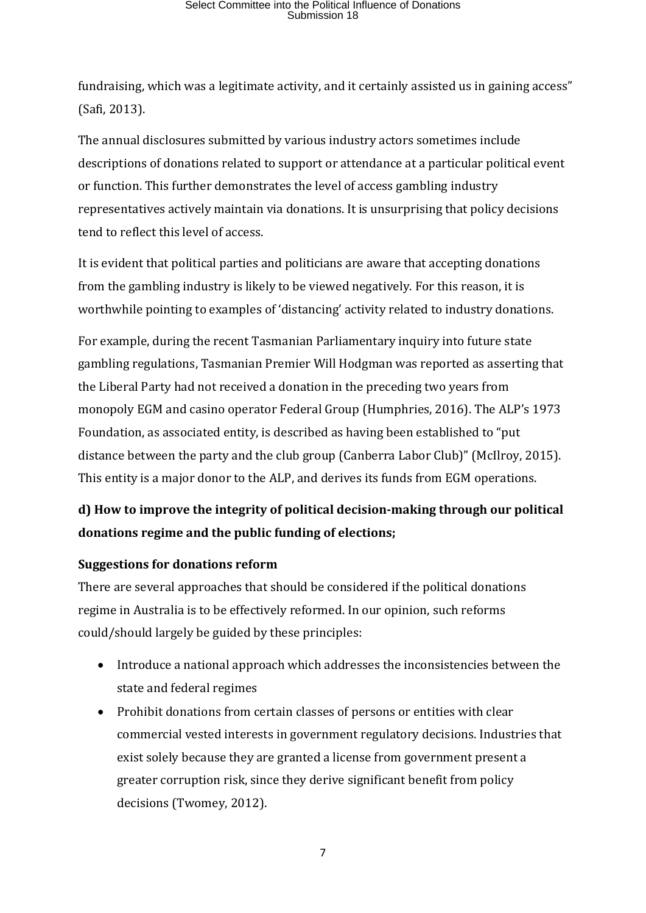fundraising, which was a legitimate activity, and it certainly assisted us in gaining access" (Safi, 2013).

The annual disclosures submitted by various industry actors sometimes include descriptions of donations related to support or attendance at a particular political event or function. This further demonstrates the level of access gambling industry representatives actively maintain via donations. It is unsurprising that policy decisions tend to reflect this level of access.

It is evident that political parties and politicians are aware that accepting donations from the gambling industry is likely to be viewed negatively. For this reason, it is worthwhile pointing to examples of 'distancing' activity related to industry donations.

For example, during the recent Tasmanian Parliamentary inquiry into future state gambling regulations, Tasmanian Premier Will Hodgman was reported as asserting that the Liberal Party had not received a donation in the preceding two years from monopoly EGM and casino operator Federal Group (Humphries, 2016). The ALP's 1973 Foundation, as associated entity, is described as having been established to "put distance between the party and the club group (Canberra Labor Club)" (McIlroy, 2015). This entity is a major donor to the ALP, and derives its funds from EGM operations.

### **d) How to improve the integrity of political decision-making through our political donations regime and the public funding of elections;**

### **Suggestions for donations reform**

There are several approaches that should be considered if the political donations regime in Australia is to be effectively reformed. In our opinion, such reforms could/should largely be guided by these principles:

- Introduce a national approach which addresses the inconsistencies between the state and federal regimes
- Prohibit donations from certain classes of persons or entities with clear commercial vested interests in government regulatory decisions. Industries that exist solely because they are granted a license from government present a greater corruption risk, since they derive significant benefit from policy decisions (Twomey, 2012).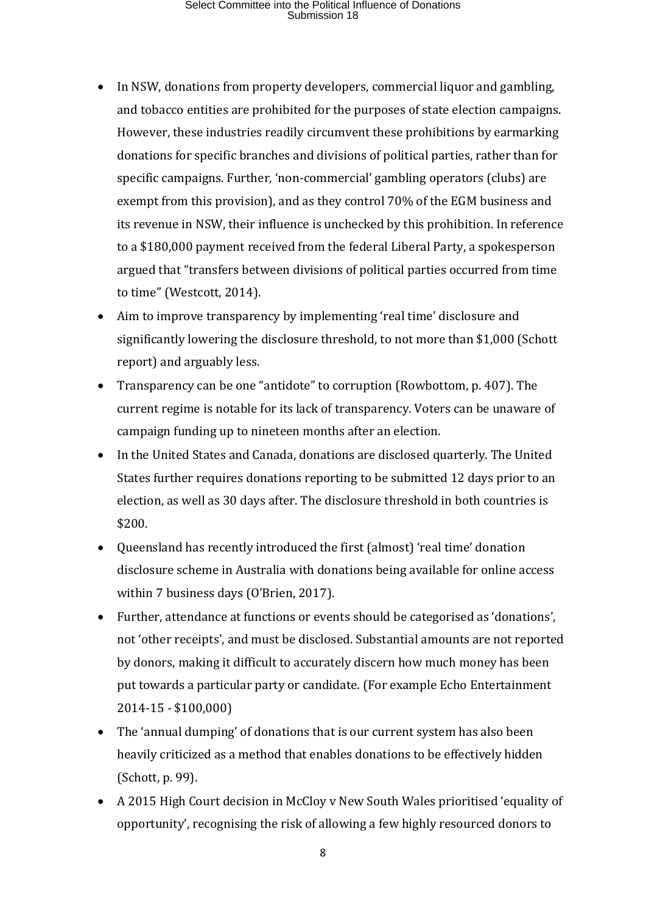- In NSW, donations from property developers, commercial liquor and gambling, and tobacco entities are prohibited for the purposes of state election campaigns. However, these industries readily circumvent these prohibitions by earmarking donations for specific branches and divisions of political parties, rather than for specific campaigns. Further, 'non-commercial' gambling operators (clubs) are exempt from this provision), and as they control 70% of the EGM business and its revenue in NSW, their influence is unchecked by this prohibition. In reference to a \$180,000 payment received from the federal Liberal Party, a spokesperson argued that "transfers between divisions of political parties occurred from time to time" (Westcott, 2014).
- Aim to improve transparency by implementing 'real time' disclosure and significantly lowering the disclosure threshold, to not more than \$1,000 (Schott report) and arguably less.
- Transparency can be one "antidote" to corruption (Rowbottom, p. 407). The current regime is notable for its lack of transparency. Voters can be unaware of campaign funding up to nineteen months after an election.
- In the United States and Canada, donations are disclosed quarterly. The United States further requires donations reporting to be submitted 12 days prior to an election, as well as 30 days after. The disclosure threshold in both countries is \$200.
- Queensland has recently introduced the first (almost) 'real time' donation disclosure scheme in Australia with donations being available for online access within 7 business days (O'Brien, 2017).
- Further, attendance at functions or events should be categorised as 'donations', not 'other receipts', and must be disclosed. Substantial amounts are not reported by donors, making it difficult to accurately discern how much money has been put towards a particular party or candidate. (For example Echo Entertainment 2014-15 - \$100,000)
- The 'annual dumping' of donations that is our current system has also been heavily criticized as a method that enables donations to be effectively hidden (Schott, p. 99).
- A 2015 High Court decision in McCloy v New South Wales prioritised 'equality of opportunity', recognising the risk of allowing a few highly resourced donors to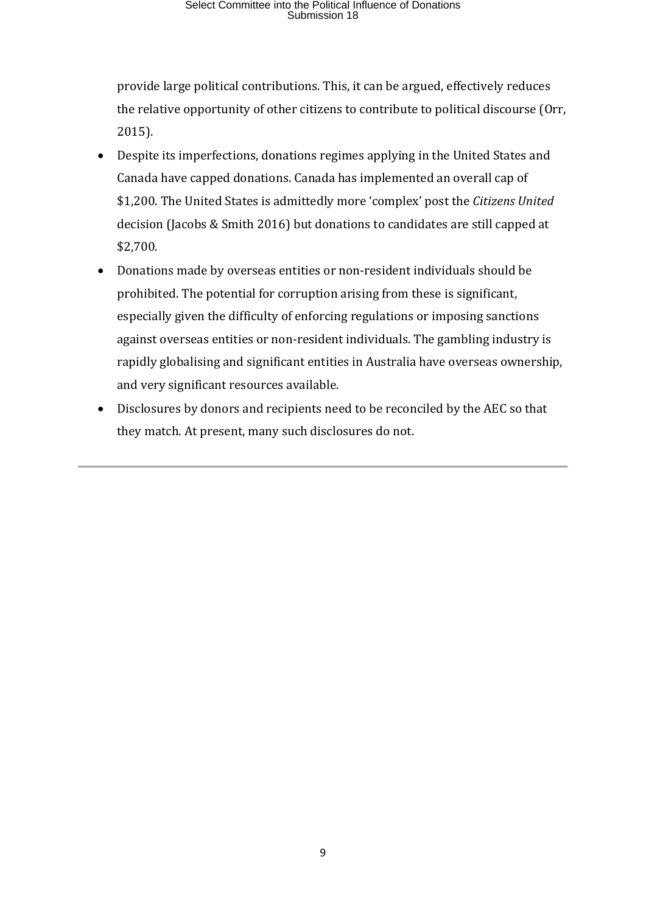provide large political contributions. This, it can be argued, effectively reduces the relative opportunity of other citizens to contribute to political discourse (Orr, 2015).

- Despite its imperfections, donations regimes applying in the United States and Canada have capped donations. Canada has implemented an overall cap of \$1,200. The United States is admittedly more 'complex' post the *Citizens United* decision (Jacobs & Smith 2016) but donations to candidates are still capped at \$2,700.
- Donations made by overseas entities or non-resident individuals should be prohibited. The potential for corruption arising from these is significant, especially given the difficulty of enforcing regulations or imposing sanctions against overseas entities or non-resident individuals. The gambling industry is rapidly globalising and significant entities in Australia have overseas ownership, and very significant resources available.
- Disclosures by donors and recipients need to be reconciled by the AEC so that they match. At present, many such disclosures do not.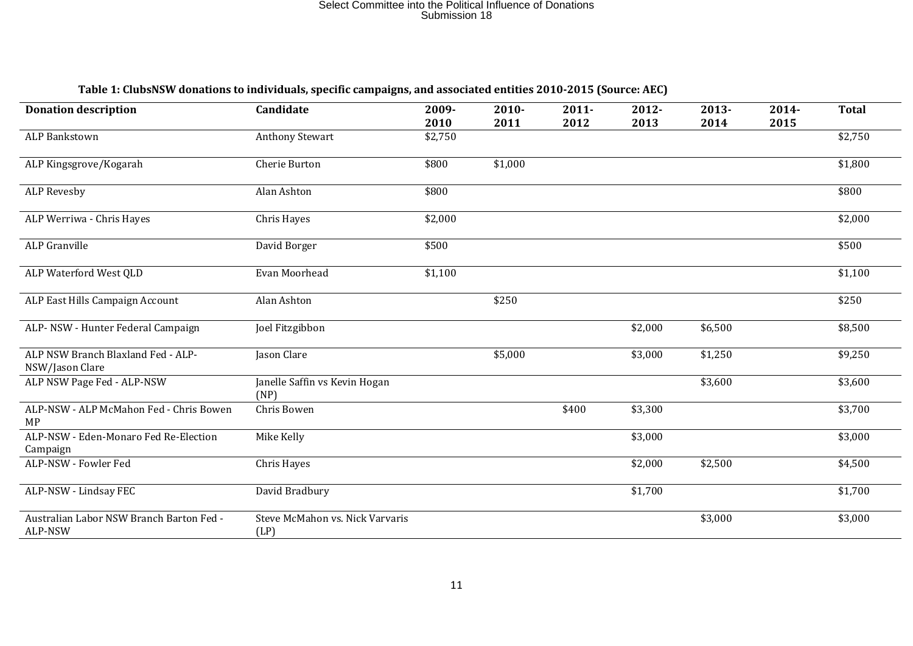| <b>Donation description</b>                           | Candidate                               | 2009-   | $2010 -$ | $2011 -$ | 2012-   | 2013-   | 2014- | <b>Total</b> |
|-------------------------------------------------------|-----------------------------------------|---------|----------|----------|---------|---------|-------|--------------|
|                                                       |                                         | 2010    | 2011     | 2012     | 2013    | 2014    | 2015  |              |
| <b>ALP Bankstown</b>                                  | <b>Anthony Stewart</b>                  | \$2,750 |          |          |         |         |       | \$2,750      |
| ALP Kingsgrove/Kogarah                                | Cherie Burton                           | \$800   | \$1,000  |          |         |         |       | \$1,800      |
| <b>ALP Revesby</b>                                    | Alan Ashton                             | \$800   |          |          |         |         |       | \$800        |
| ALP Werriwa - Chris Hayes                             | Chris Hayes                             | \$2,000 |          |          |         |         |       | \$2,000      |
| <b>ALP</b> Granville                                  | David Borger                            | \$500   |          |          |         |         |       | \$500        |
| ALP Waterford West QLD                                | Evan Moorhead                           | \$1,100 |          |          |         |         |       | \$1,100      |
| ALP East Hills Campaign Account                       | Alan Ashton                             |         | \$250    |          |         |         |       | \$250        |
| ALP-NSW - Hunter Federal Campaign                     | Joel Fitzgibbon                         |         |          |          | \$2,000 | \$6,500 |       | \$8,500      |
| ALP NSW Branch Blaxland Fed - ALP-<br>NSW/Jason Clare | Jason Clare                             |         | \$5,000  |          | \$3,000 | \$1,250 |       | \$9,250      |
| ALP NSW Page Fed - ALP-NSW                            | Janelle Saffin vs Kevin Hogan<br>(NP)   |         |          |          |         | \$3,600 |       | \$3,600      |
| ALP-NSW - ALP McMahon Fed - Chris Bowen<br>MP         | Chris Bowen                             |         |          | \$400    | \$3,300 |         |       | \$3,700      |
| ALP-NSW - Eden-Monaro Fed Re-Election<br>Campaign     | Mike Kelly                              |         |          |          | \$3,000 |         |       | \$3,000      |
| ALP-NSW - Fowler Fed                                  | Chris Hayes                             |         |          |          | \$2,000 | \$2,500 |       | \$4,500      |
| ALP-NSW - Lindsay FEC                                 | David Bradbury                          |         |          |          | \$1,700 |         |       | \$1,700      |
| Australian Labor NSW Branch Barton Fed -<br>ALP-NSW   | Steve McMahon vs. Nick Varvaris<br>(LP) |         |          |          |         | \$3,000 |       | \$3,000      |

#### **Table 1: ClubsNSW donations to individuals, specific campaigns, and associated entities 2010-2015 (Source: AEC)**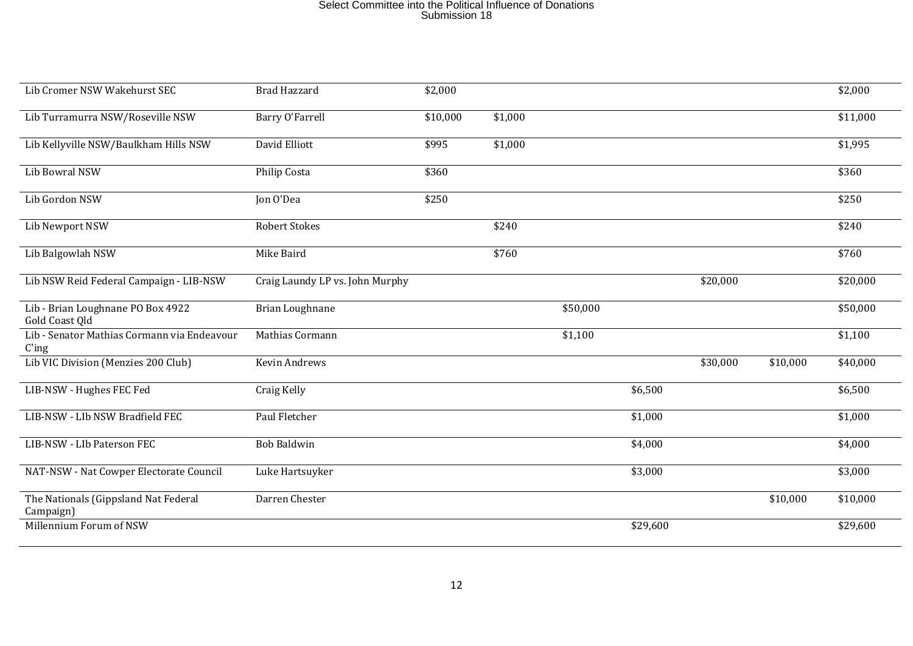| Lib Cromer NSW Wakehurst SEC                            | <b>Brad Hazzard</b>             | \$2,000  |         |          |          |          |          | \$2,000  |
|---------------------------------------------------------|---------------------------------|----------|---------|----------|----------|----------|----------|----------|
| Lib Turramurra NSW/Roseville NSW                        | <b>Barry O'Farrell</b>          | \$10,000 | \$1,000 |          |          |          |          | \$11,000 |
| Lib Kellyville NSW/Baulkham Hills NSW                   | David Elliott                   | \$995    | \$1,000 |          |          |          |          | \$1,995  |
| Lib Bowral NSW                                          | Philip Costa                    | \$360    |         |          |          |          |          | \$360    |
| Lib Gordon NSW                                          | Jon O'Dea                       | \$250    |         |          |          |          |          | \$250    |
| Lib Newport NSW                                         | <b>Robert Stokes</b>            |          | \$240   |          |          |          |          | \$240    |
| Lib Balgowlah NSW                                       | Mike Baird                      |          | \$760   |          |          |          |          | \$760    |
| Lib NSW Reid Federal Campaign - LIB-NSW                 | Craig Laundy LP vs. John Murphy |          |         |          |          | \$20,000 |          | \$20,000 |
| Lib - Brian Loughnane PO Box 4922<br>Gold Coast Qld     | Brian Loughnane                 |          |         | \$50,000 |          |          |          | \$50,000 |
| Lib - Senator Mathias Cormann via Endeavour<br>$C'$ ing | Mathias Cormann                 |          |         | \$1,100  |          |          |          | \$1,100  |
| Lib VIC Division (Menzies 200 Club)                     | Kevin Andrews                   |          |         |          |          | \$30,000 | \$10,000 | \$40,000 |
| LIB-NSW - Hughes FEC Fed                                | Craig Kelly                     |          |         |          | \$6,500  |          |          | \$6,500  |
| LIB-NSW - LIb NSW Bradfield FEC                         | Paul Fletcher                   |          |         |          | \$1,000  |          |          | \$1,000  |
| LIB-NSW - LIb Paterson FEC                              | <b>Bob Baldwin</b>              |          |         |          | \$4,000  |          |          | \$4,000  |
| NAT-NSW - Nat Cowper Electorate Council                 | Luke Hartsuyker                 |          |         |          | \$3,000  |          |          | \$3,000  |
| The Nationals (Gippsland Nat Federal<br>Campaign)       | Darren Chester                  |          |         |          |          |          | \$10,000 | \$10,000 |
| Millennium Forum of NSW                                 |                                 |          |         |          | \$29,600 |          |          | \$29,600 |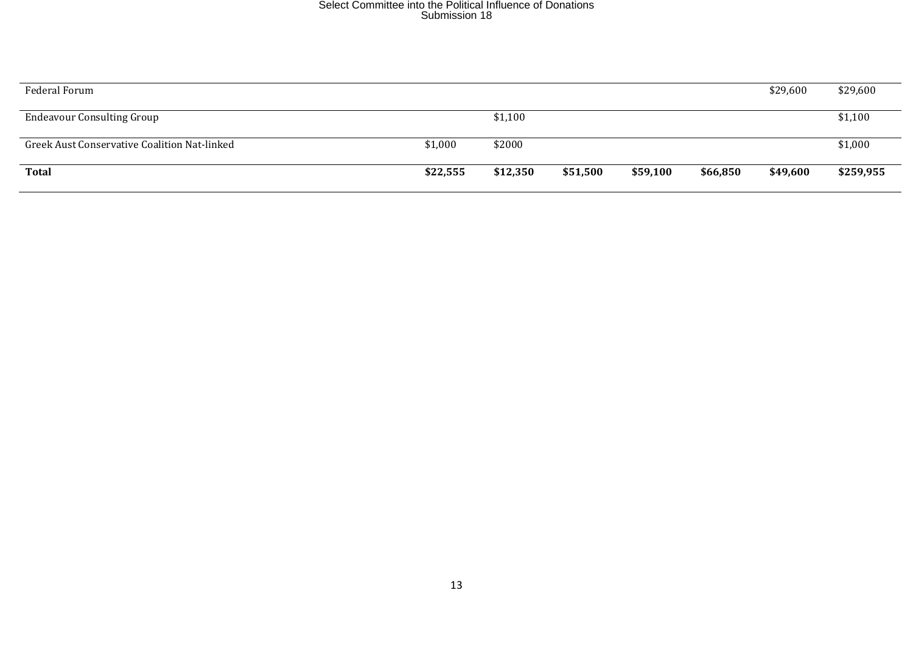| Federal Forum                                |          |          |          |          |          | \$29,600 | \$29,600  |
|----------------------------------------------|----------|----------|----------|----------|----------|----------|-----------|
| <b>Endeavour Consulting Group</b>            |          | \$1,100  |          |          |          |          | \$1,100   |
| Greek Aust Conservative Coalition Nat-linked | \$1,000  | \$2000   |          |          |          |          | \$1,000   |
| <b>Total</b>                                 | \$22,555 | \$12,350 | \$51,500 | \$59,100 | \$66,850 | \$49,600 | \$259,955 |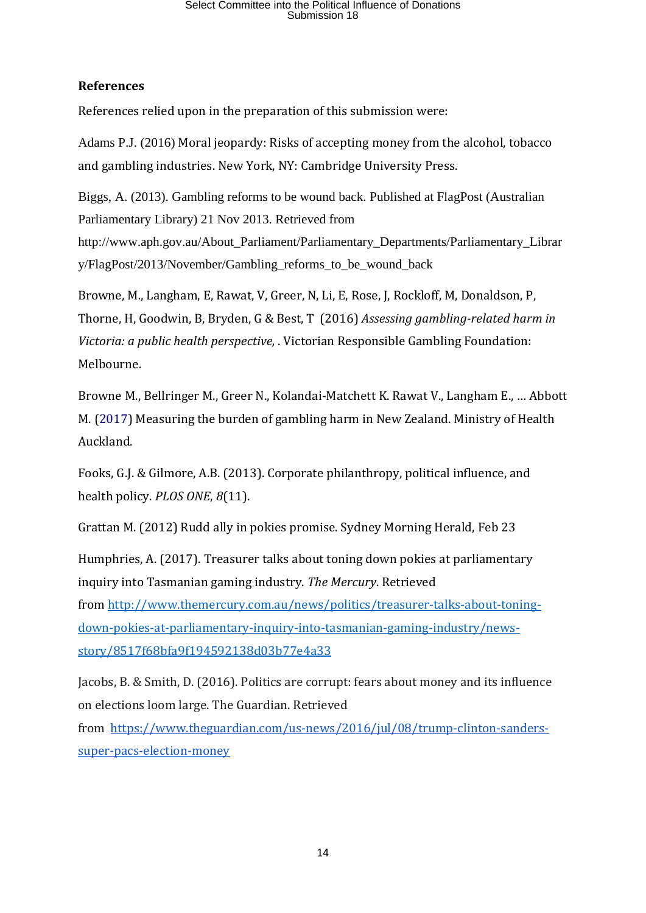### **References**

References relied upon in the preparation of this submission were:

Adams P.J. (2016) Moral jeopardy: Risks of accepting money from the alcohol, tobacco and gambling industries. New York, NY: Cambridge University Press.

Biggs, A. (2013). Gambling reforms to be wound back. Published at FlagPost (Australian Parliamentary Library) 21 Nov 2013. Retrieved from

[http://www.aph.gov.au/About\\_Parliament/Parliamentary\\_Departments/Parliamentary\\_Librar](http://www.aph.gov.au/About_Parliament/Parliamentary_Departments/Parliamentary_Library/FlagPost/2013/November/Gambling_reforms_to_be_wound_back) [y/FlagPost/2013/November/Gambling\\_reforms\\_to\\_be\\_wound\\_back](http://www.aph.gov.au/About_Parliament/Parliamentary_Departments/Parliamentary_Library/FlagPost/2013/November/Gambling_reforms_to_be_wound_back)

Browne, M., Langham, E, Rawat, V, Greer, N, Li, E, Rose, J, Rockloff, M, Donaldson, P, Thorne, H, Goodwin, B, Bryden, G & Best, T (2016) *Assessing gambling-related harm in Victoria: a public health perspective,* . Victorian Responsible Gambling Foundation: Melbourne.

Browne M., Bellringer M., Greer N., Kolandai-Matchett K. Rawat V., Langham E., … Abbott M. (2017) Measuring the burden of gambling harm in New Zealand. Ministry of Health Auckland.

Fooks, G.J. & Gilmore, A.B. (2013). Corporate philanthropy, political influence, and health policy. *PLOS ONE*, *8*(11).

Grattan M. (2012) Rudd ally in pokies promise. Sydney Morning Herald, Feb 23

Humphries, A. (2017). Treasurer talks about toning down pokies at parliamentary inquiry into Tasmanian gaming industry. *The Mercury*. Retrieved from [http://www.themercury.com.au/news/politics/treasurer-talks-about-toning](http://www.themercury.com.au/news/politics/treasurer-talks-about-toning-down-pokies-at-parliamentary-inquiry-into-tasmanian-gaming-industry/news-story/8517f68bfa9f194592138d03b77e4a33)[down-pokies-at-parliamentary-inquiry-into-tasmanian-gaming-industry/news](http://www.themercury.com.au/news/politics/treasurer-talks-about-toning-down-pokies-at-parliamentary-inquiry-into-tasmanian-gaming-industry/news-story/8517f68bfa9f194592138d03b77e4a33)[story/8517f68bfa9f194592138d03b77e4a33](http://www.themercury.com.au/news/politics/treasurer-talks-about-toning-down-pokies-at-parliamentary-inquiry-into-tasmanian-gaming-industry/news-story/8517f68bfa9f194592138d03b77e4a33)

Jacobs, B. & Smith, D. (2016). Politics are corrupt: fears about money and its influence on elections loom large. The Guardian. Retrieved from [https://www.theguardian.com/us-news/2016/jul/08/trump-clinton-sanders](https://www.theguardian.com/us-news/2016/jul/08/trump-clinton-sanders-super-pacs-election-money)[super-pacs-election-money](https://www.theguardian.com/us-news/2016/jul/08/trump-clinton-sanders-super-pacs-election-money)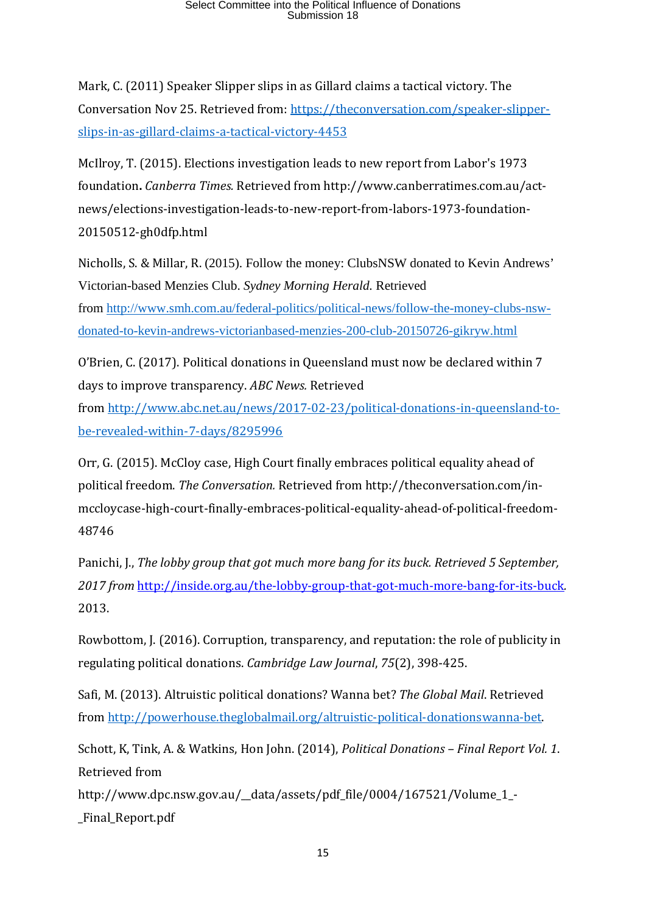Mark, C. (2011) Speaker Slipper slips in as Gillard claims a tactical victory. The Conversation Nov 25. Retrieved from: [https://theconversation.com/speaker-slipper](https://theconversation.com/speaker-slipper-slips-in-as-gillard-claims-a-tactical-victory-4453)[slips-in-as-gillard-claims-a-tactical-victory-4453](https://theconversation.com/speaker-slipper-slips-in-as-gillard-claims-a-tactical-victory-4453)

McIlroy, T. (2015). Elections investigation leads to new report from Labor's 1973 foundation**.** *Canberra Times.* Retrieved from http://www.canberratimes.com.au/actnews/elections-investigation-leads-to-new-report-from-labors-1973-foundation-20150512-gh0dfp.html

Nicholls, S. & Millar, R. (2015). Follow the money: ClubsNSW donated to Kevin Andrews' Victorian-based Menzies Club. *Sydney Morning Herald.* Retrieved from [http://www.smh.com.au/federal-politics/political-news/follow-the-money-clubs-nsw](http://www.smh.com.au/federal-politics/political-news/follow-the-money-clubs-nsw-donated-to-kevin-andrews-victorianbased-menzies-200-club-20150726-gikryw.html)[donated-to-kevin-andrews-victorianbased-menzies-200-club-20150726-gikryw.html](http://www.smh.com.au/federal-politics/political-news/follow-the-money-clubs-nsw-donated-to-kevin-andrews-victorianbased-menzies-200-club-20150726-gikryw.html)

O'Brien, C. (2017). Political donations in Queensland must now be declared within 7 days to improve transparency. *ABC News.* Retrieved

from [http://www.abc.net.au/news/2017-02-23/political-donations-in-queensland-to](http://www.abc.net.au/news/2017-02-23/political-donations-in-queensland-to-be-revealed-within-7-days/8295996)[be-revealed-within-7-days/8295996](http://www.abc.net.au/news/2017-02-23/political-donations-in-queensland-to-be-revealed-within-7-days/8295996)

Orr, G. (2015). McCloy case, High Court finally embraces political equality ahead of political freedom. *The Conversation.* Retrieved from http://theconversation.com/inmccloycase-high-court-finally-embraces-political-equality-ahead-of-political-freedom-48746

Panichi, J., *The lobby group that got much more bang for its buck. Retrieved 5 September, 2017 from* <http://inside.org.au/the-lobby-group-that-got-much-more-bang-for-its-buck>*.* 2013.

Rowbottom, J. (2016). Corruption, transparency, and reputation: the role of publicity in regulating political donations. *Cambridge Law Journal*, *75*(2), 398-425.

Safi, M. (2013). Altruistic political donations? Wanna bet? *The Global Mail*. Retrieved from [http://powerhouse.theglobalmail.org/altruistic-political-donationswanna-bet.](http://powerhouse.theglobalmail.org/altruistic-political-donationswanna-bet)

Schott, K, Tink, A. & Watkins, Hon John. (2014), *Political Donations – Final Report Vol. 1*. Retrieved from

http://www.dpc.nsw.gov.au/\_\_data/assets/pdf\_file/0004/167521/Volume\_1\_- \_Final\_Report.pdf